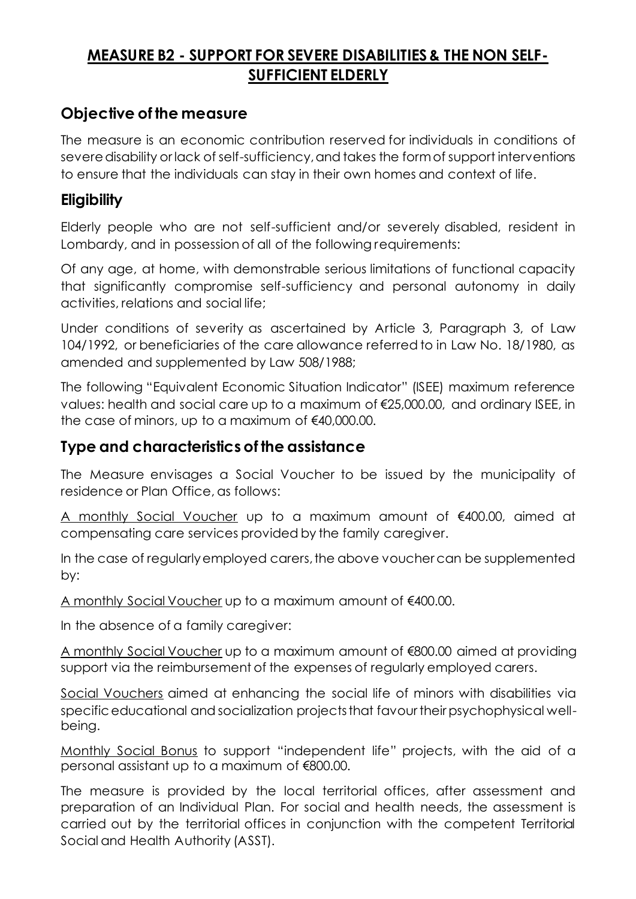## **MEASURE B2 - SUPPORT FOR SEVERE DISABILITIES & THE NON SELF-SUFFICIENT ELDERLY**

### **Objective of the measure**

The measure is an economic contribution reserved for individuals in conditions of severe disability or lack of self-sufficiency, and takes the form of support interventions to ensure that the individuals can stay in their own homes and context of life.

#### **Eligibility**

Elderly people who are not self-sufficient and/or severely disabled, resident in Lombardy, and in possession of all of the following requirements:

Of any age, at home, with demonstrable serious limitations of functional capacity that significantly compromise self-sufficiency and personal autonomy in daily activities, relations and social life;

Under conditions of severity as ascertained by Article 3, Paragraph 3, of Law 104/1992, or beneficiaries of the care allowance referred to in Law No. 18/1980, as amended and supplemented by Law 508/1988;

The following "Equivalent Economic Situation Indicator" (ISEE) maximum reference values: health and social care up to a maximum of €25,000.00, and ordinary ISEE, in the case of minors, up to a maximum of €40,000.00.

#### **Type and characteristics of the assistance**

The Measure envisages a Social Voucher to be issued by the municipality of residence or Plan Office, as follows:

A monthly Social Voucher up to a maximum amount of €400.00, aimed at compensating care services provided by the family caregiver.

In the case of regularly employed carers, the above voucher can be supplemented by:

A monthly Social Voucher up to a maximum amount of €400.00.

In the absence of a family caregiver:

A monthly Social Voucher up to a maximum amount of €800.00 aimed at providing support via the reimbursement of the expenses of regularly employed carers.

Social Vouchers aimed at enhancing the social life of minors with disabilities via specific educational and socialization projects that favour their psychophysical wellbeing.

Monthly Social Bonus to support "independent life" projects, with the aid of a personal assistant up to a maximum of €800.00.

The measure is provided by the local territorial offices, after assessment and preparation of an Individual Plan. For social and health needs, the assessment is carried out by the territorial offices in conjunction with the competent Territorial Social and Health Authority (ASST).